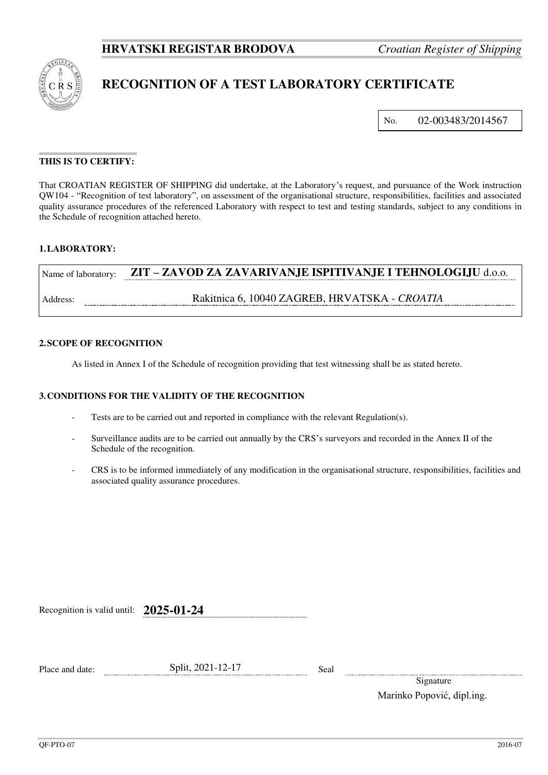

# **RECOGNITION OF A TEST LABORATORY CERTIFICATE**

No. 02-003483/2014567

## **THIS IS TO CERTIFY:**

That CROATIAN REGISTER OF SHIPPING did undertake, at the Laboratory's request, and pursuance of the Work instruction QW104 - "Recognition of test laboratory", on assessment of the organisational structure, responsibilities, facilities and associated quality assurance procedures of the referenced Laboratory with respect to test and testing standards, subject to any conditions in the Schedule of recognition attached hereto.

### **1. LABORATORY:**

| Name of laboratory: | ZIT - ZAVOD ZA ZAVARIVANJE ISPITIVANJE I TEHNOLOGIJU d.o.o. |
|---------------------|-------------------------------------------------------------|
| Address:            | Rakitnica 6, 10040 ZAGREB, HRVATSKA - CROATIA               |

#### **2. SCOPE OF RECOGNITION**

As listed in Annex I of the Schedule of recognition providing that test witnessing shall be as stated hereto.

#### **3. CONDITIONS FOR THE VALIDITY OF THE RECOGNITION**

- Tests are to be carried out and reported in compliance with the relevant Regulation(s).
- Surveillance audits are to be carried out annually by the CRS's surveyors and recorded in the Annex II of the Schedule of the recognition.
- CRS is to be informed immediately of any modification in the organisational structure, responsibilities, facilities and associated quality assurance procedures.

Recognition is valid until: **2025-01-24**

**Split, 2021-12-17** Seal

Signature Marinko Popović, dipl.ing.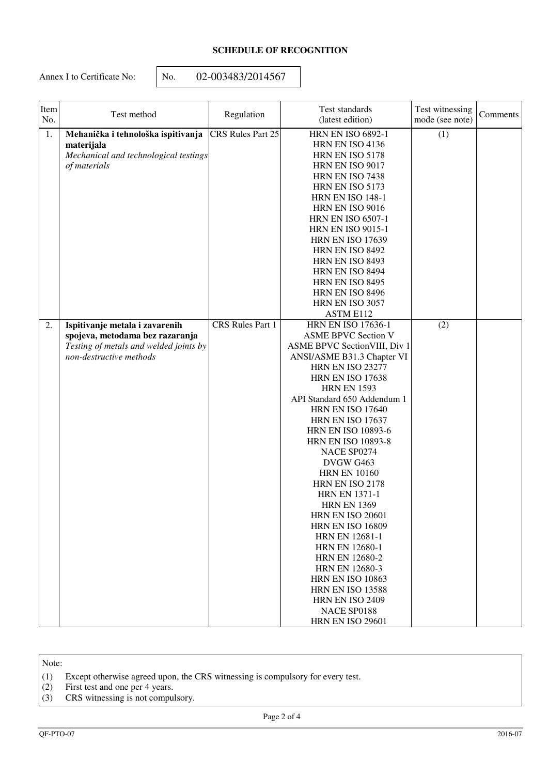# **SCHEDULE OF RECOGNITION**

Annex I to Certificate No:  $\vert$  No.  $02-003483/2014567$ 

| Item<br>No. | Test method                                                                                                                            | Regulation              | Test standards<br>(latest edition)                                                                                                                                                                                                                                                                                                                                                                                                                                                                                                                                                                                                                                                                                                                                     | Test witnessing<br>mode (see note) | Comments |
|-------------|----------------------------------------------------------------------------------------------------------------------------------------|-------------------------|------------------------------------------------------------------------------------------------------------------------------------------------------------------------------------------------------------------------------------------------------------------------------------------------------------------------------------------------------------------------------------------------------------------------------------------------------------------------------------------------------------------------------------------------------------------------------------------------------------------------------------------------------------------------------------------------------------------------------------------------------------------------|------------------------------------|----------|
| 1.          | Mehanička i tehnološka ispitivanja<br>materijala<br>Mechanical and technological testings<br>of materials                              | CRS Rules Part 25       | <b>HRN EN ISO 6892-1</b><br>HRN EN ISO 4136<br>HRN EN ISO 5178<br>HRN EN ISO 9017<br>HRN EN ISO 7438<br>HRN EN ISO 5173<br><b>HRN EN ISO 148-1</b><br>HRN EN ISO 9016<br><b>HRN EN ISO 6507-1</b><br><b>HRN EN ISO 9015-1</b><br><b>HRN EN ISO 17639</b><br>HRN EN ISO 8492<br>HRN EN ISO 8493<br>HRN EN ISO 8494<br>HRN EN ISO 8495<br>HRN EN ISO 8496<br>HRN EN ISO 3057                                                                                                                                                                                                                                                                                                                                                                                             | (1)                                |          |
| 2.          | Ispitivanje metala i zavarenih<br>spojeva, metodama bez razaranja<br>Testing of metals and welded joints by<br>non-destructive methods | <b>CRS</b> Rules Part 1 | ASTM E112<br><b>HRN EN ISO 17636-1</b><br><b>ASME BPVC Section V</b><br>ASME BPVC Section VIII, Div 1<br>ANSI/ASME B31.3 Chapter VI<br><b>HRN EN ISO 23277</b><br><b>HRN EN ISO 17638</b><br><b>HRN EN 1593</b><br>API Standard 650 Addendum 1<br><b>HRN EN ISO 17640</b><br><b>HRN EN ISO 17637</b><br><b>HRN EN ISO 10893-6</b><br><b>HRN EN ISO 10893-8</b><br>NACE SP0274<br>DVGW G463<br><b>HRN EN 10160</b><br>HRN EN ISO 2178<br><b>HRN EN 1371-1</b><br><b>HRN EN 1369</b><br><b>HRN EN ISO 20601</b><br><b>HRN EN ISO 16809</b><br><b>HRN EN 12681-1</b><br><b>HRN EN 12680-1</b><br><b>HRN EN 12680-2</b><br><b>HRN EN 12680-3</b><br><b>HRN EN ISO 10863</b><br><b>HRN EN ISO 13588</b><br><b>HRN EN ISO 2409</b><br>NACE SP0188<br><b>HRN EN ISO 29601</b> | (2)                                |          |

Note:

(1) Except otherwise agreed upon, the CRS witnessing is compulsory for every test.

(2) First test and one per 4 years.

(3) CRS witnessing is not compulsory.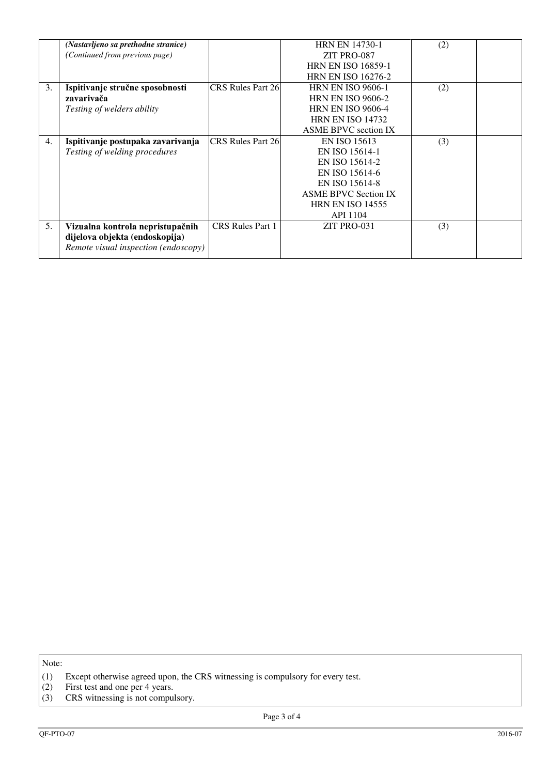|    | (Nastavljeno sa prethodne stranice)  |                          | <b>HRN EN 14730-1</b>       | (2) |  |
|----|--------------------------------------|--------------------------|-----------------------------|-----|--|
|    | (Continued from previous page)       |                          | ZIT PRO-087                 |     |  |
|    |                                      |                          | <b>HRN EN ISO 16859-1</b>   |     |  |
|    |                                      |                          | <b>HRN EN ISO 16276-2</b>   |     |  |
| 3. | Ispitivanje stručne sposobnosti      | <b>CRS Rules Part 26</b> | <b>HRN EN ISO 9606-1</b>    | (2) |  |
|    | zavarivača                           |                          | <b>HRN EN ISO 9606-2</b>    |     |  |
|    | Testing of welders ability           |                          | <b>HRN EN ISO 9606-4</b>    |     |  |
|    |                                      |                          | <b>HRN EN ISO 14732</b>     |     |  |
|    |                                      |                          | <b>ASME BPVC</b> section IX |     |  |
| 4. | Ispitivanje postupaka zavarivanja    | <b>CRS Rules Part 26</b> | EN ISO 15613                | (3) |  |
|    | Testing of welding procedures        |                          | EN ISO 15614-1              |     |  |
|    |                                      |                          | EN ISO 15614-2              |     |  |
|    |                                      |                          | EN ISO 15614-6              |     |  |
|    |                                      |                          | EN ISO 15614-8              |     |  |
|    |                                      |                          | <b>ASME BPVC Section IX</b> |     |  |
|    |                                      |                          | <b>HRN EN ISO 14555</b>     |     |  |
|    |                                      |                          | <b>API 1104</b>             |     |  |
| 5. | Vizualna kontrola nepristupačnih     | CRS Rules Part 1         | ZIT PRO-031                 | (3) |  |
|    | dijelova objekta (endoskopija)       |                          |                             |     |  |
|    | Remote visual inspection (endoscopy) |                          |                             |     |  |
|    |                                      |                          |                             |     |  |

Note:

<sup>(1)</sup> Except otherwise agreed upon, the CRS witnessing is compulsory for every test.

<sup>(2)</sup> First test and one per 4 years.

<sup>(3)</sup> CRS witnessing is not compulsory.